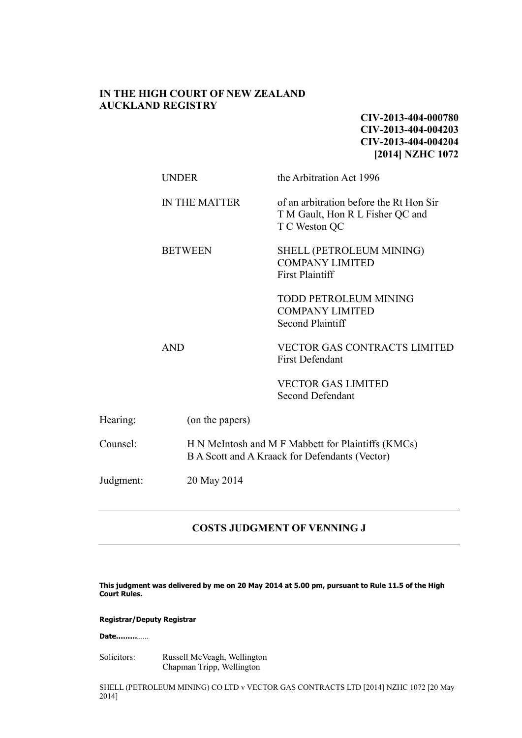## **IN THE HIGH COURT OF NEW ZEALAND AUCKLAND REGISTRY**

**CIV-2013-404-000780 CIV-2013-404-004203 CIV-2013-404-004204 [2014] NZHC 1072**

|           | <b>UNDER</b>         | the Arbitration Act 1996                                                                             |  |  |
|-----------|----------------------|------------------------------------------------------------------------------------------------------|--|--|
|           | <b>IN THE MATTER</b> | of an arbitration before the Rt Hon Sir<br>T M Gault, Hon R L Fisher QC and<br>T C Weston QC         |  |  |
|           | <b>BETWEEN</b>       | SHELL (PETROLEUM MINING)<br><b>COMPANY LIMITED</b><br><b>First Plaintiff</b>                         |  |  |
|           |                      | <b>TODD PETROLEUM MINING</b><br><b>COMPANY LIMITED</b><br><b>Second Plaintiff</b>                    |  |  |
|           | <b>AND</b>           | <b>VECTOR GAS CONTRACTS LIMITED</b><br><b>First Defendant</b>                                        |  |  |
|           |                      | <b>VECTOR GAS LIMITED</b><br><b>Second Defendant</b>                                                 |  |  |
| Hearing:  | (on the papers)      |                                                                                                      |  |  |
| Counsel:  |                      | H N McIntosh and M F Mabbett for Plaintiffs (KMCs)<br>B A Scott and A Kraack for Defendants (Vector) |  |  |
| Judgment: | 20 May 2014          |                                                                                                      |  |  |

## **COSTS JUDGMENT OF VENNING J**

**This judgment was delivered by me on 20 May 2014 at 5.00 pm, pursuant to Rule 11.5 of the High Court Rules.**

## **Registrar/Deputy Registrar**

**Date………**……

Solicitors: Russell McVeagh, Wellington Chapman Tripp, Wellington

SHELL (PETROLEUM MINING) CO LTD v VECTOR GAS CONTRACTS LTD [2014] NZHC 1072 [20 May 2014]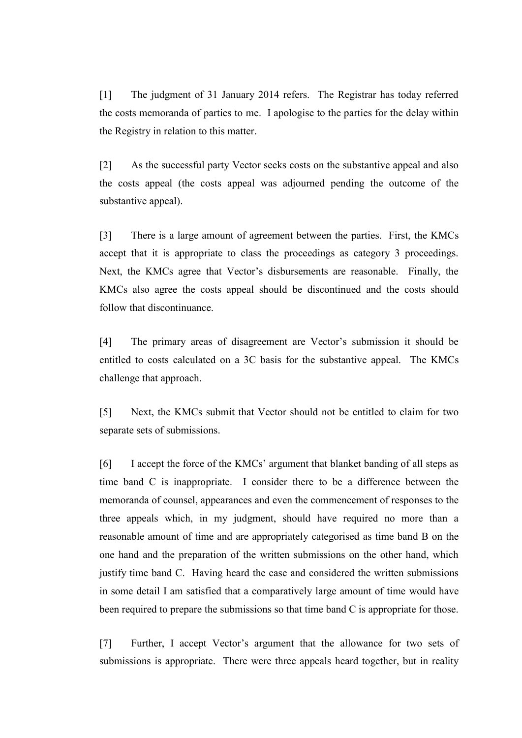[1] The judgment of 31 January 2014 refers. The Registrar has today referred the costs memoranda of parties to me. I apologise to the parties for the delay within the Registry in relation to this matter.

[2] As the successful party Vector seeks costs on the substantive appeal and also the costs appeal (the costs appeal was adjourned pending the outcome of the substantive appeal).

[3] There is a large amount of agreement between the parties. First, the KMCs accept that it is appropriate to class the proceedings as category 3 proceedings. Next, the KMCs agree that Vector's disbursements are reasonable. Finally, the KMCs also agree the costs appeal should be discontinued and the costs should follow that discontinuance.

[4] The primary areas of disagreement are Vector's submission it should be entitled to costs calculated on a 3C basis for the substantive appeal. The KMCs challenge that approach.

[5] Next, the KMCs submit that Vector should not be entitled to claim for two separate sets of submissions.

[6] I accept the force of the KMCs' argument that blanket banding of all steps as time band C is inappropriate. I consider there to be a difference between the memoranda of counsel, appearances and even the commencement of responses to the three appeals which, in my judgment, should have required no more than a reasonable amount of time and are appropriately categorised as time band B on the one hand and the preparation of the written submissions on the other hand, which justify time band C. Having heard the case and considered the written submissions in some detail I am satisfied that a comparatively large amount of time would have been required to prepare the submissions so that time band C is appropriate for those.

[7] Further, I accept Vector's argument that the allowance for two sets of submissions is appropriate. There were three appeals heard together, but in reality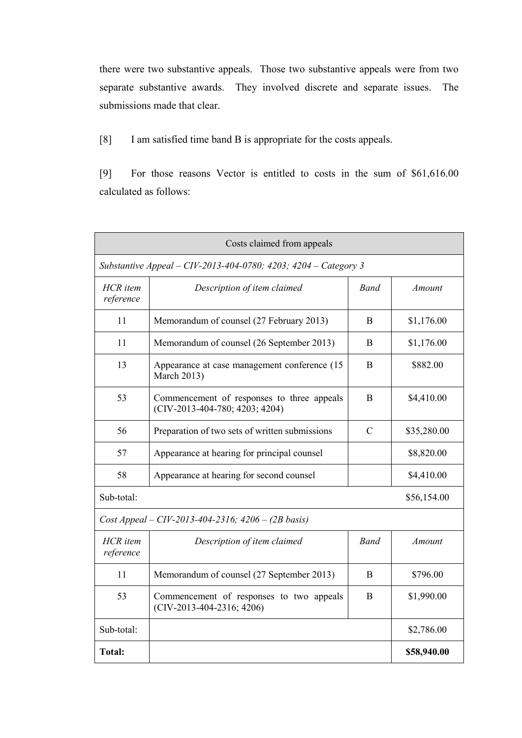there were two substantive appeals. Those two substantive appeals were from two separate substantive awards. They involved discrete and separate issues. The submissions made that clear.

[8] I am satisfied time band B is appropriate for the costs appeals.

[9] For those reasons Vector is entitled to costs in the sum of \$61,616.00 calculated as follows:

| Costs claimed from appeals                                      |                                                                              |               |               |  |  |
|-----------------------------------------------------------------|------------------------------------------------------------------------------|---------------|---------------|--|--|
| Substantive Appeal - CIV-2013-404-0780; 4203; 4204 - Category 3 |                                                                              |               |               |  |  |
| <b>HCR</b> item<br>reference                                    | Description of item claimed                                                  | <b>Band</b>   | <b>Amount</b> |  |  |
| 11                                                              | Memorandum of counsel (27 February 2013)                                     | <sub>B</sub>  | \$1,176.00    |  |  |
| 11                                                              | Memorandum of counsel (26 September 2013)                                    | B             | \$1,176.00    |  |  |
| 13                                                              | Appearance at case management conference (15)<br><b>March 2013)</b>          | B             | \$882.00      |  |  |
| 53                                                              | Commencement of responses to three appeals<br>(CIV-2013-404-780; 4203; 4204) | B             | \$4,410.00    |  |  |
| 56                                                              | Preparation of two sets of written submissions                               | $\mathcal{C}$ | \$35,280.00   |  |  |
| 57                                                              | Appearance at hearing for principal counsel                                  |               | \$8,820.00    |  |  |
| 58                                                              | Appearance at hearing for second counsel                                     |               | \$4,410.00    |  |  |
| Sub-total:                                                      |                                                                              |               | \$56,154.00   |  |  |
| Cost Appeal – CIV-2013-404-2316; $4206 - (2B \text{ basis})$    |                                                                              |               |               |  |  |
| <b>HCR</b> item<br>reference                                    | Description of item claimed                                                  | <b>Band</b>   | Amount        |  |  |
| 11                                                              | Memorandum of counsel (27 September 2013)                                    | B             | \$796.00      |  |  |
| 53                                                              | Commencement of responses to two appeals<br>$(CIV-2013-404-2316; 4206)$      | B             | \$1,990.00    |  |  |
| Sub-total:                                                      |                                                                              |               | \$2,786.00    |  |  |
| Total:                                                          |                                                                              |               | \$58,940.00   |  |  |